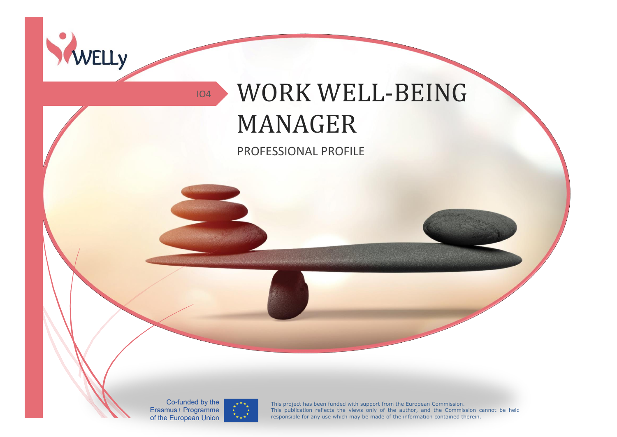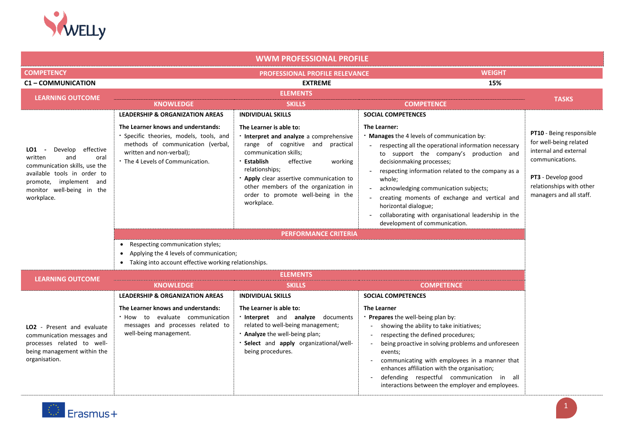

| <b>WWM PROFESSIONAL PROFILE</b>                                                                                                                                                           |                                                                                                                                                                                                                                  |                                                                                                                                                                                                                                                                                                                                                               |                                                                                                                                                                                                                                                                                                                                                                                                                                                                                                    |                                                                                                                                                                             |
|-------------------------------------------------------------------------------------------------------------------------------------------------------------------------------------------|----------------------------------------------------------------------------------------------------------------------------------------------------------------------------------------------------------------------------------|---------------------------------------------------------------------------------------------------------------------------------------------------------------------------------------------------------------------------------------------------------------------------------------------------------------------------------------------------------------|----------------------------------------------------------------------------------------------------------------------------------------------------------------------------------------------------------------------------------------------------------------------------------------------------------------------------------------------------------------------------------------------------------------------------------------------------------------------------------------------------|-----------------------------------------------------------------------------------------------------------------------------------------------------------------------------|
| <b>COMPETENCY</b>                                                                                                                                                                         |                                                                                                                                                                                                                                  | PROFESSIONAL PROFILE RELEVANCE                                                                                                                                                                                                                                                                                                                                | <b>WEIGHT</b>                                                                                                                                                                                                                                                                                                                                                                                                                                                                                      |                                                                                                                                                                             |
| <b>C1-COMMUNICATION</b>                                                                                                                                                                   |                                                                                                                                                                                                                                  | <b>EXTREME</b>                                                                                                                                                                                                                                                                                                                                                | 15%                                                                                                                                                                                                                                                                                                                                                                                                                                                                                                |                                                                                                                                                                             |
| <b>LEARNING OUTCOME</b>                                                                                                                                                                   |                                                                                                                                                                                                                                  | <b>ELEMENTS</b>                                                                                                                                                                                                                                                                                                                                               |                                                                                                                                                                                                                                                                                                                                                                                                                                                                                                    | <b>TASKS</b>                                                                                                                                                                |
|                                                                                                                                                                                           | <b>KNOWLEDGE</b>                                                                                                                                                                                                                 | <b>SKILLS</b>                                                                                                                                                                                                                                                                                                                                                 | <b>COMPETENCE</b>                                                                                                                                                                                                                                                                                                                                                                                                                                                                                  |                                                                                                                                                                             |
| Develop effective<br>LO1 -<br>written<br>and<br>oral<br>communication skills, use the<br>available tools in order to<br>promote, implement and<br>monitor well-being in the<br>workplace. | <b>LEADERSHIP &amp; ORGANIZATION AREAS</b><br>The Learner knows and understands:<br>· Specific theories, models, tools, and<br>methods of communication (verbal,<br>written and non-verbal);<br>• The 4 Levels of Communication. | <b>INDIVIDUAL SKILLS</b><br>The Learner is able to:<br>. Interpret and analyze a comprehensive<br>range of cognitive and<br>practical<br>communication skills;<br>· Establish<br>effective<br>working<br>relationships;<br>Apply clear assertive communication to<br>other members of the organization in<br>order to promote well-being in the<br>workplace. | <b>SOCIAL COMPETENCES</b><br>The Learner:<br>. Manages the 4 levels of communication by:<br>respecting all the operational information necessary<br>to support the company's production and<br>decisionmaking processes;<br>respecting information related to the company as a<br>whole:<br>acknowledging communication subjects;<br>creating moments of exchange and vertical and<br>horizontal dialogue;<br>collaborating with organisational leadership in the<br>development of communication. | PT10 - Being responsible<br>for well-being related<br>internal and external<br>communications.<br>PT3 - Develop good<br>relationships with other<br>managers and all staff. |
|                                                                                                                                                                                           |                                                                                                                                                                                                                                  | <b>PERFORMANCE CRITERIA</b>                                                                                                                                                                                                                                                                                                                                   |                                                                                                                                                                                                                                                                                                                                                                                                                                                                                                    |                                                                                                                                                                             |
|                                                                                                                                                                                           | Respecting communication styles;<br>$\bullet$                                                                                                                                                                                    |                                                                                                                                                                                                                                                                                                                                                               |                                                                                                                                                                                                                                                                                                                                                                                                                                                                                                    |                                                                                                                                                                             |
|                                                                                                                                                                                           | Applying the 4 levels of communication;<br>$\bullet$                                                                                                                                                                             |                                                                                                                                                                                                                                                                                                                                                               |                                                                                                                                                                                                                                                                                                                                                                                                                                                                                                    |                                                                                                                                                                             |
|                                                                                                                                                                                           | • Taking into account effective working relationships.                                                                                                                                                                           |                                                                                                                                                                                                                                                                                                                                                               |                                                                                                                                                                                                                                                                                                                                                                                                                                                                                                    |                                                                                                                                                                             |
| <b>LEARNING OUTCOME</b>                                                                                                                                                                   |                                                                                                                                                                                                                                  | <b>ELEMENTS</b>                                                                                                                                                                                                                                                                                                                                               |                                                                                                                                                                                                                                                                                                                                                                                                                                                                                                    |                                                                                                                                                                             |
|                                                                                                                                                                                           | <b>KNOWLEDGE</b>                                                                                                                                                                                                                 | <b>SKILLS</b>                                                                                                                                                                                                                                                                                                                                                 | <b>COMPETENCE</b>                                                                                                                                                                                                                                                                                                                                                                                                                                                                                  |                                                                                                                                                                             |
|                                                                                                                                                                                           | <b>LEADERSHIP &amp; ORGANIZATION AREAS</b>                                                                                                                                                                                       | <b>INDIVIDUAL SKILLS</b>                                                                                                                                                                                                                                                                                                                                      | <b>SOCIAL COMPETENCES</b>                                                                                                                                                                                                                                                                                                                                                                                                                                                                          |                                                                                                                                                                             |
| LO2 - Present and evaluate<br>communication messages and<br>processes related to well-<br>being management within the<br>organisation.                                                    | The Learner knows and understands:<br>. How to evaluate communication<br>messages and processes related to<br>well-being management.                                                                                             | The Learner is able to:<br>. Interpret and analyze documents<br>related to well-being management;<br>. Analyze the well-being plan;<br>Select and apply organizational/well-<br>being procedures.                                                                                                                                                             | <b>The Learner</b><br>. Prepares the well-being plan by:<br>showing the ability to take initiatives;<br>respecting the defined procedures;<br>being proactive in solving problems and unforeseen<br>$\sim$<br>events;<br>communicating with employees in a manner that<br>enhances affiliation with the organisation;<br>defending respectful communication in all<br>interactions between the employer and employees.                                                                             |                                                                                                                                                                             |

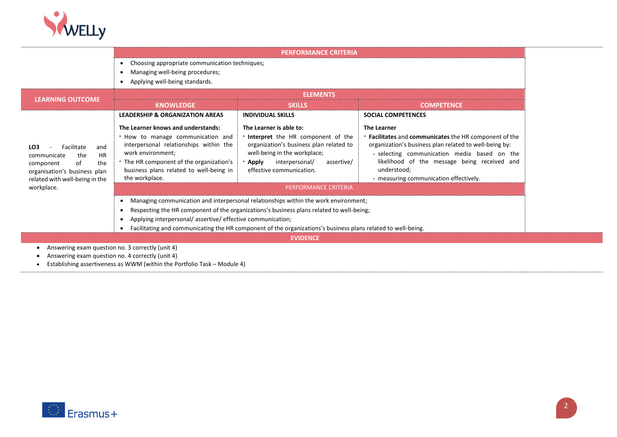

|                                                                                                                                                                                   |                                                                                                                                                                                                                                                                                                                                                                   | <b>PERFORMANCE CRITERIA</b>                                                                                                                                                                                                                   |                                                                                                                                                                                                                                                                                                             |  |
|-----------------------------------------------------------------------------------------------------------------------------------------------------------------------------------|-------------------------------------------------------------------------------------------------------------------------------------------------------------------------------------------------------------------------------------------------------------------------------------------------------------------------------------------------------------------|-----------------------------------------------------------------------------------------------------------------------------------------------------------------------------------------------------------------------------------------------|-------------------------------------------------------------------------------------------------------------------------------------------------------------------------------------------------------------------------------------------------------------------------------------------------------------|--|
|                                                                                                                                                                                   | Choosing appropriate communication techniques;<br>$\bullet$<br>Managing well-being procedures;<br>Applying well-being standards.<br>$\bullet$                                                                                                                                                                                                                     |                                                                                                                                                                                                                                               |                                                                                                                                                                                                                                                                                                             |  |
| <b>LEARNING OUTCOME</b>                                                                                                                                                           |                                                                                                                                                                                                                                                                                                                                                                   | <b>ELEMENTS</b>                                                                                                                                                                                                                               |                                                                                                                                                                                                                                                                                                             |  |
|                                                                                                                                                                                   | <b>KNOWLEDGE</b>                                                                                                                                                                                                                                                                                                                                                  | <b>SKILLS</b>                                                                                                                                                                                                                                 | <b>COMPETENCE</b>                                                                                                                                                                                                                                                                                           |  |
|                                                                                                                                                                                   | <b>LEADERSHIP &amp; ORGANIZATION AREAS</b>                                                                                                                                                                                                                                                                                                                        | <b>INDIVIDUAL SKILLS</b>                                                                                                                                                                                                                      | <b>SOCIAL COMPETENCES</b>                                                                                                                                                                                                                                                                                   |  |
| LO <sub>3</sub><br>Facilitate<br>and<br><b>HR</b><br>the<br>communicate<br>of<br>the<br>component<br>organisation's business plan<br>related with well-being in the<br>workplace. | The Learner knows and understands:<br>. How to manage communication and<br>interpersonal relationships within the<br>work environment;<br>• The HR component of the organization's<br>business plans related to well-being in<br>the workplace.                                                                                                                   | The Learner is able to:<br>. Interpret the HR component of the<br>organization's business plan related to<br>well-being in the workplace;<br>interpersonal/<br><b>Apply</b><br>assertive/<br>effective communication.<br>PERFORMANCE CRITERIA | <b>The Learner</b><br><b>Facilitates</b> and <b>communicates</b> the HR component of the<br>organization's business plan related to well-being by:<br>- selecting communication media based on the<br>likelihood of the message being received and<br>understood;<br>- measuring communication effectively. |  |
|                                                                                                                                                                                   | Managing communication and interpersonal relationships within the work environment;<br>٠<br>Respecting the HR component of the organizations's business plans related to well-being;<br>Applying interpersonal/assertive/effective communication;<br>Facilitating and communicating the HR component of the organizations's business plans related to well-being. |                                                                                                                                                                                                                                               |                                                                                                                                                                                                                                                                                                             |  |
| <b>EVIDENCE</b>                                                                                                                                                                   |                                                                                                                                                                                                                                                                                                                                                                   |                                                                                                                                                                                                                                               |                                                                                                                                                                                                                                                                                                             |  |
| Answering exam question no. 3 correctly (unit 4)                                                                                                                                  |                                                                                                                                                                                                                                                                                                                                                                   |                                                                                                                                                                                                                                               |                                                                                                                                                                                                                                                                                                             |  |
| Answering exam question no. 4 correctly (unit 4)                                                                                                                                  |                                                                                                                                                                                                                                                                                                                                                                   |                                                                                                                                                                                                                                               |                                                                                                                                                                                                                                                                                                             |  |

• Establishing assertiveness as WWM (within the Portfolio Task – Module 4)

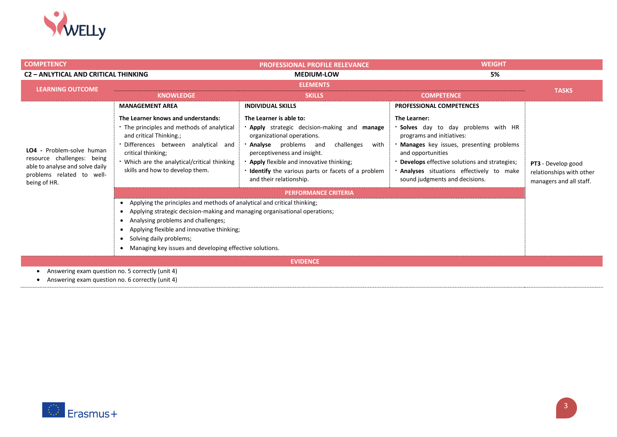

| <b>COMPETENCY</b>                                                                                                                       |                                                                                                                                                                                                                                                                                                                                                                                                                                                                                      | <b>PROFESSIONAL PROFILE RELEVANCE</b>                                                                                                                                                                                                                                                                                                                               | <b>WEIGHT</b>                                                                                                                                                                                                                                                                                  |                                                                           |
|-----------------------------------------------------------------------------------------------------------------------------------------|--------------------------------------------------------------------------------------------------------------------------------------------------------------------------------------------------------------------------------------------------------------------------------------------------------------------------------------------------------------------------------------------------------------------------------------------------------------------------------------|---------------------------------------------------------------------------------------------------------------------------------------------------------------------------------------------------------------------------------------------------------------------------------------------------------------------------------------------------------------------|------------------------------------------------------------------------------------------------------------------------------------------------------------------------------------------------------------------------------------------------------------------------------------------------|---------------------------------------------------------------------------|
| <b>C2 - ANLYTICAL AND CRITICAL THINKING</b>                                                                                             |                                                                                                                                                                                                                                                                                                                                                                                                                                                                                      | 5%<br><b>MEDIUM-LOW</b>                                                                                                                                                                                                                                                                                                                                             |                                                                                                                                                                                                                                                                                                |                                                                           |
| <b>LEARNING OUTCOME</b><br><b>KNOWLEDGE</b>                                                                                             |                                                                                                                                                                                                                                                                                                                                                                                                                                                                                      | <b>ELEMENTS</b><br><b>SKILLS</b>                                                                                                                                                                                                                                                                                                                                    | <b>COMPETENCE</b>                                                                                                                                                                                                                                                                              | <b>TASKS</b>                                                              |
|                                                                                                                                         | <b>MANAGEMENT AREA</b>                                                                                                                                                                                                                                                                                                                                                                                                                                                               | <b>INDIVIDUAL SKILLS</b>                                                                                                                                                                                                                                                                                                                                            | <b>PROFESSIONAL COMPETENCES</b>                                                                                                                                                                                                                                                                |                                                                           |
| LO4 - Problem-solve human<br>resource challenges: being<br>able to analyse and solve daily<br>problems related to well-<br>being of HR. | The Learner knows and understands:<br>• The principles and methods of analytical<br>and critical Thinking.;<br>Differences between analytical and<br>critical thinking;<br>. Which are the analytical/critical thinking<br>skills and how to develop them.<br>Applying the principles and methods of analytical and critical thinking;<br>Applying strategic decision-making and managing organisational operations;<br>$\bullet$<br>Analysing problems and challenges;<br>$\bullet$ | The Learner is able to:<br><b>· Apply</b> strategic decision-making and <b>manage</b><br>organizational operations.<br><b>Analyse</b> problems and<br>challenges<br>with<br>perceptiveness and insight.<br>Apply flexible and innovative thinking;<br>. Identify the various parts or facets of a problem<br>and their relationship.<br><b>PERFORMANCE CRITERIA</b> | The Learner:<br><b>Solves</b> day to day problems with HR<br>programs and initiatives:<br>. Manages key issues, presenting problems<br>and opportunities<br>• Develops effective solutions and strategies;<br><b>Analyses</b> situations effectively to make<br>sound judgments and decisions. | PT3 - Develop good<br>relationships with other<br>managers and all staff. |
|                                                                                                                                         | Applying flexible and innovative thinking;<br>$\bullet$<br>Solving daily problems;<br>$\bullet$                                                                                                                                                                                                                                                                                                                                                                                      |                                                                                                                                                                                                                                                                                                                                                                     |                                                                                                                                                                                                                                                                                                |                                                                           |
|                                                                                                                                         | Managing key issues and developing effective solutions.<br>$\bullet$                                                                                                                                                                                                                                                                                                                                                                                                                 |                                                                                                                                                                                                                                                                                                                                                                     |                                                                                                                                                                                                                                                                                                |                                                                           |
| <b>EVIDENCE</b>                                                                                                                         |                                                                                                                                                                                                                                                                                                                                                                                                                                                                                      |                                                                                                                                                                                                                                                                                                                                                                     |                                                                                                                                                                                                                                                                                                |                                                                           |
| Answering exam question no. 5 correctly (unit 4)<br>Apsusting ovem question no E correctly (unit A)                                     |                                                                                                                                                                                                                                                                                                                                                                                                                                                                                      |                                                                                                                                                                                                                                                                                                                                                                     |                                                                                                                                                                                                                                                                                                |                                                                           |

• Answering exam question no. 6 correctly (unit 4)

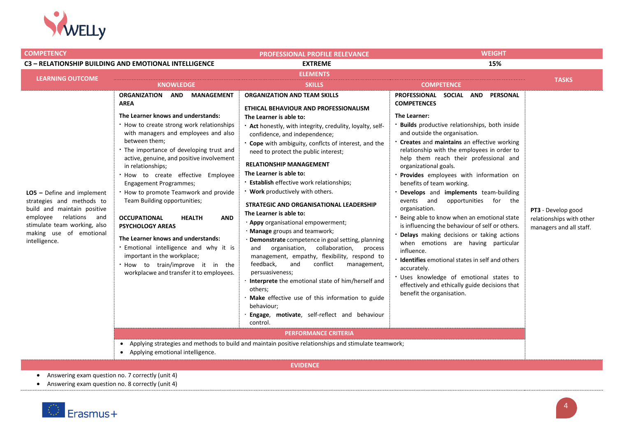

| <b>COMPETENCY</b>                                                                                                                                                                                 |                                                                                                                                                                                                                                                                                                                                                                                                                                                                                                                                                                                                                                                                                                                                                                                                   | <b>PROFESSIONAL PROFILE RELEVANCE</b>                                                                                                                                                                                                                                                                                                                                                                                                                                                                                                                                                                                                                                                                                                                                                                                                                                                                                                                                                                                                                                                                                                                                   | <b>WEIGHT</b>                                                                                                                                                                                                                                                                                                                                                                                                                                                                                                                                                                                                                                                                                                                                                                                                                                                                                  |                                                                           |
|---------------------------------------------------------------------------------------------------------------------------------------------------------------------------------------------------|---------------------------------------------------------------------------------------------------------------------------------------------------------------------------------------------------------------------------------------------------------------------------------------------------------------------------------------------------------------------------------------------------------------------------------------------------------------------------------------------------------------------------------------------------------------------------------------------------------------------------------------------------------------------------------------------------------------------------------------------------------------------------------------------------|-------------------------------------------------------------------------------------------------------------------------------------------------------------------------------------------------------------------------------------------------------------------------------------------------------------------------------------------------------------------------------------------------------------------------------------------------------------------------------------------------------------------------------------------------------------------------------------------------------------------------------------------------------------------------------------------------------------------------------------------------------------------------------------------------------------------------------------------------------------------------------------------------------------------------------------------------------------------------------------------------------------------------------------------------------------------------------------------------------------------------------------------------------------------------|------------------------------------------------------------------------------------------------------------------------------------------------------------------------------------------------------------------------------------------------------------------------------------------------------------------------------------------------------------------------------------------------------------------------------------------------------------------------------------------------------------------------------------------------------------------------------------------------------------------------------------------------------------------------------------------------------------------------------------------------------------------------------------------------------------------------------------------------------------------------------------------------|---------------------------------------------------------------------------|
|                                                                                                                                                                                                   | C3 - RELATIONSHIP BUILDING AND EMOTIONAL INTELLIGENCE                                                                                                                                                                                                                                                                                                                                                                                                                                                                                                                                                                                                                                                                                                                                             | <b>EXTREME</b>                                                                                                                                                                                                                                                                                                                                                                                                                                                                                                                                                                                                                                                                                                                                                                                                                                                                                                                                                                                                                                                                                                                                                          | 15%                                                                                                                                                                                                                                                                                                                                                                                                                                                                                                                                                                                                                                                                                                                                                                                                                                                                                            |                                                                           |
| <b>LEARNING OUTCOME</b>                                                                                                                                                                           |                                                                                                                                                                                                                                                                                                                                                                                                                                                                                                                                                                                                                                                                                                                                                                                                   | <b>ELEMENTS</b>                                                                                                                                                                                                                                                                                                                                                                                                                                                                                                                                                                                                                                                                                                                                                                                                                                                                                                                                                                                                                                                                                                                                                         |                                                                                                                                                                                                                                                                                                                                                                                                                                                                                                                                                                                                                                                                                                                                                                                                                                                                                                |                                                                           |
|                                                                                                                                                                                                   | <b>KNOWLEDGE</b>                                                                                                                                                                                                                                                                                                                                                                                                                                                                                                                                                                                                                                                                                                                                                                                  | <b>SKILLS</b>                                                                                                                                                                                                                                                                                                                                                                                                                                                                                                                                                                                                                                                                                                                                                                                                                                                                                                                                                                                                                                                                                                                                                           | <b>COMPETENCE</b>                                                                                                                                                                                                                                                                                                                                                                                                                                                                                                                                                                                                                                                                                                                                                                                                                                                                              | <b>TASKS</b>                                                              |
| $LO5$ – Define and implement<br>strategies and methods to<br>build and maintain positive<br>relations and<br>employee<br>stimulate team working, also<br>making use of emotional<br>intelligence. | <b>ORGANIZATION</b><br>AND MANAGEMENT<br><b>AREA</b><br>The Learner knows and understands:<br>. How to create strong work relationships<br>with managers and employees and also<br>between them;<br>. The importance of developing trust and<br>active, genuine, and positive involvement<br>in relationships;<br>. How to create effective Employee<br><b>Engagement Programmes;</b><br>. How to promote Teamwork and provide<br>Team Building opportunities;<br><b>OCCUPATIONAL</b><br><b>AND</b><br><b>HEALTH</b><br><b>PSYCHOLOGY AREAS</b><br>The Learner knows and understands:<br>· Emotional intelligence and why it is<br>important in the workplace;<br>. How to train/improve it in the<br>workplacwe and transfer it to employees.<br>$\bullet$<br>• Applying emotional intelligence. | <b>ORGANIZATION AND TEAM SKILLS</b><br>ETHICAL BEHAVIOUR AND PROFESSIONALISM<br>The Learner is able to:<br>• Act honestly, with integrity, credulity, loyalty, self-<br>confidence, and independence;<br>• Cope with ambiguity, conflcts of interest, and the<br>need to protect the public interest;<br><b>RELATIONSHIP MANAGEMENT</b><br>The Learner is able to:<br><b>Establish effective work relationships;</b><br>. Work productively with others.<br>STRATEGIC AND ORGANISATIONAL LEADERSHIP<br>The Learner is able to:<br>· Appy organisational empowerment;<br>· Manage groups and teamwork;<br>· Demonstrate competence in goal setting, planning<br>organisation, collaboration,<br>and<br>process<br>management, empathy, flexibility, respond to<br>feedback,<br>and<br>conflict<br>management,<br>persuasiveness;<br>· Interprete the emotional state of him/herself and<br>others;<br>· Make effective use of this information to guide<br>behaviour;<br>Engage, motivate, self-reflect and behaviour<br>control.<br><b>PERFORMANCE CRITERIA</b><br>Applying strategies and methods to build and maintain positive relationships and stimulate teamwork; | PROFESSIONAL SOCIAL<br>AND PERSONAL<br><b>COMPETENCES</b><br>The Learner:<br>Builds productive relationships, both inside<br>and outside the organisation.<br>Creates and maintains an effective working<br>relationship with the employees in order to<br>help them reach their professional and<br>organizational goals.<br>Provides employees with information on<br>benefits of team working.<br>Develops and implements team-building<br>events and opportunities<br>for the<br>organisation.<br>Being able to know when an emotional state<br>is influencing the behaviour of self or others.<br>Delays making decisions or taking actions<br>when emotions are having particular<br>influence.<br>Identifies emotional states in self and others<br>accurately.<br>Uses knowledge of emotional states to<br>effectively and ethically guide decisions that<br>benefit the organisation. | PT3 - Develop good<br>relationships with other<br>managers and all staff. |

**EVIDENCE**

• Answering exam question no. 7 correctly (unit 4)

• Answering exam question no. 8 correctly (unit 4)

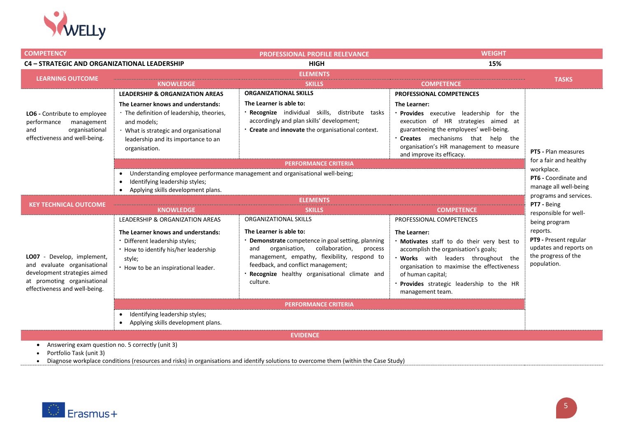

| <b>COMPETENCY</b>                                                                                                                                          |                                                                                                                                                                                                                                                                              | <b>PROFESSIONAL PROFILE RELEVANCE</b>                                                                                                                                                                                                                                                                       | <b>WEIGHT</b>                                                                                                                                                                                                                                                                                         |                                                                                                                    |  |
|------------------------------------------------------------------------------------------------------------------------------------------------------------|------------------------------------------------------------------------------------------------------------------------------------------------------------------------------------------------------------------------------------------------------------------------------|-------------------------------------------------------------------------------------------------------------------------------------------------------------------------------------------------------------------------------------------------------------------------------------------------------------|-------------------------------------------------------------------------------------------------------------------------------------------------------------------------------------------------------------------------------------------------------------------------------------------------------|--------------------------------------------------------------------------------------------------------------------|--|
| <b>C4 - STRATEGIC AND ORGANIZATIONAL LEADERSHIP</b>                                                                                                        |                                                                                                                                                                                                                                                                              | <b>HIGH</b>                                                                                                                                                                                                                                                                                                 | 15%                                                                                                                                                                                                                                                                                                   |                                                                                                                    |  |
| <b>LEARNING OUTCOME</b>                                                                                                                                    | <b>KNOWLEDGE</b>                                                                                                                                                                                                                                                             | <b>ELEMENTS</b><br><b>SKILLS</b>                                                                                                                                                                                                                                                                            | <b>COMPETENCE</b>                                                                                                                                                                                                                                                                                     | <b>TASKS</b>                                                                                                       |  |
| LO6 - Contribute to employee<br>performance<br>management<br>organisational<br>and<br>effectiveness and well-being.                                        | <b>LEADERSHIP &amp; ORGANIZATION AREAS</b><br>The Learner knows and understands:<br>. The definition of leadership, theories,<br>and models:<br>· What is strategic and organisational<br>leadership and its importance to an<br>organisation.                               | <b>ORGANIZATIONAL SKILLS</b><br>The Learner is able to:<br>Recognize individual skills, distribute tasks<br>accordingly and plan skills' development;<br>Create and innovate the organisational context.                                                                                                    | <b>PROFESSIONAL COMPETENCES</b><br>The Learner:<br><b>Provides</b> executive leadership for the<br>execution of HR strategies aimed at<br>guaranteeing the employees' well-being.<br>Creates mechanisms that help the<br>organisation's HR management to measure<br>and improve its efficacy.         | <b>PT5</b> - Plan measures<br>for a fair and healthy                                                               |  |
|                                                                                                                                                            | <b>PERFORMANCE CRITERIA</b><br>workplace.<br>Understanding employee performance management and organisational well-being;<br>PT6 - Coordinate and<br>Identifying leadership styles;<br>manage all well-being<br>Applying skills development plans.<br>programs and services. |                                                                                                                                                                                                                                                                                                             |                                                                                                                                                                                                                                                                                                       |                                                                                                                    |  |
| <b>KEY TECHNICAL OUTCOME</b>                                                                                                                               | <b>KNOWLEDGE</b>                                                                                                                                                                                                                                                             | <b>ELEMENTS</b><br><b>SKILLS</b>                                                                                                                                                                                                                                                                            | <b>COMPETENCE</b>                                                                                                                                                                                                                                                                                     | PT7 - Being<br>responsible for well-                                                                               |  |
| Develop, implement,<br>LO07<br>and evaluate organisational<br>development strategies aimed<br>at promoting organisational<br>effectiveness and well-being. | LEADERSHIP & ORGANIZATION AREAS<br>The Learner knows and understands:<br>· Different leadership styles;<br>• How to identify his/her leadership<br>style;<br>. How to be an inspirational leader.                                                                            | ORGANIZATIONAL SKILLS<br>The Learner is able to:<br>Demonstrate competence in goal setting, planning<br>organisation,<br>collaboration,<br>and<br>process<br>management, empathy, flexibility, respond to<br>feedback, and conflict management;<br>Recognize healthy organisational climate and<br>culture. | PROFESSIONAL COMPETENCES<br>The Learner:<br>. Motivates staff to do their very best to<br>accomplish the organisation's goals;<br>Works with leaders throughout the<br>organisation to maximise the effectiveness<br>of human capital;<br>Provides strategic leadership to the HR<br>management team. | being program<br>reports.<br>PT9 - Present regular<br>updates and reports on<br>the progress of the<br>population. |  |
|                                                                                                                                                            | Identifying leadership styles;<br>$\bullet$<br>Applying skills development plans.                                                                                                                                                                                            | <b>PERFORMANCE CRITERIA</b>                                                                                                                                                                                                                                                                                 |                                                                                                                                                                                                                                                                                                       |                                                                                                                    |  |

**EVIDENCE**

• Answering exam question no. 5 correctly (unit 3)

• Portfolio Task (unit 3)

• Diagnose workplace conditions (resources and risks) in organisations and identify solutions to overcome them (within the Case Study)

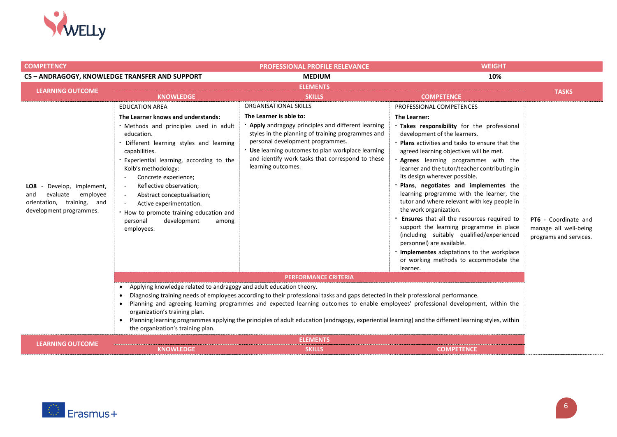

| <b>COMPETENCY</b>                                                                                                   |                                                                                                                                                                                                                                                                                                                                                                                                                                                                                                                                                                                                 | <b>PROFESSIONAL PROFILE RELEVANCE</b>                                                                                                                                                                                                                                                                                                                           | <b>WEIGHT</b>                                                                                                                                                                                                                                                                                                                                                                                                                                                                                                                                                                                                                                                                                                                                                                       |                                                                         |
|---------------------------------------------------------------------------------------------------------------------|-------------------------------------------------------------------------------------------------------------------------------------------------------------------------------------------------------------------------------------------------------------------------------------------------------------------------------------------------------------------------------------------------------------------------------------------------------------------------------------------------------------------------------------------------------------------------------------------------|-----------------------------------------------------------------------------------------------------------------------------------------------------------------------------------------------------------------------------------------------------------------------------------------------------------------------------------------------------------------|-------------------------------------------------------------------------------------------------------------------------------------------------------------------------------------------------------------------------------------------------------------------------------------------------------------------------------------------------------------------------------------------------------------------------------------------------------------------------------------------------------------------------------------------------------------------------------------------------------------------------------------------------------------------------------------------------------------------------------------------------------------------------------------|-------------------------------------------------------------------------|
|                                                                                                                     | C5 - ANDRAGOGY, KNOWLEDGE TRANSFER AND SUPPORT                                                                                                                                                                                                                                                                                                                                                                                                                                                                                                                                                  | 10%<br><b>MEDIUM</b>                                                                                                                                                                                                                                                                                                                                            |                                                                                                                                                                                                                                                                                                                                                                                                                                                                                                                                                                                                                                                                                                                                                                                     |                                                                         |
| <b>LEARNING OUTCOME</b>                                                                                             |                                                                                                                                                                                                                                                                                                                                                                                                                                                                                                                                                                                                 | <b>ELEMENTS</b>                                                                                                                                                                                                                                                                                                                                                 |                                                                                                                                                                                                                                                                                                                                                                                                                                                                                                                                                                                                                                                                                                                                                                                     |                                                                         |
|                                                                                                                     | <b>KNOWLEDGE</b>                                                                                                                                                                                                                                                                                                                                                                                                                                                                                                                                                                                | <b>SKILLS</b>                                                                                                                                                                                                                                                                                                                                                   | <b>COMPETENCE</b>                                                                                                                                                                                                                                                                                                                                                                                                                                                                                                                                                                                                                                                                                                                                                                   | <b>TASKS</b>                                                            |
| Develop, implement,<br>LO8.<br>evaluate<br>employee<br>and<br>orientation, training, and<br>development programmes. | <b>EDUCATION AREA</b><br>The Learner knows and understands:<br>. Methods and principles used in adult<br>education.<br>· Different learning styles and learning<br>capabilities.<br>. Experiential learning, according to the<br>Kolb's methodology:<br>Concrete experience;<br>$\overline{\phantom{a}}$<br>Reflective observation;<br>$\sim$<br>Abstract conceptualisation;<br>$\sim$<br>Active experimentation.<br>$\sim$<br>. How to promote training education and<br>personal<br>development<br>among<br>employees.<br>Applying knowledge related to andragogy and adult education theory. | ORGANISATIONAL SKILLS<br>The Learner is able to:<br>• Apply andragogy principles and different learning<br>styles in the planning of training programmes and<br>personal development programmes.<br>. Use learning outcomes to plan workplace learning<br>and identify work tasks that correspond to these<br>learning outcomes.<br><b>PERFORMANCE CRITERIA</b> | PROFESSIONAL COMPETENCES<br>The Learner:<br>Takes responsibility for the professional<br>development of the learners.<br><b>Plans</b> activities and tasks to ensure that the<br>agreed learning objectives will be met.<br>Agrees learning programmes with the<br>learner and the tutor/teacher contributing in<br>its design wherever possible.<br>Plans, negotiates and implementes the<br>learning programme with the learner, the<br>tutor and where relevant with key people in<br>the work organization.<br>Ensures that all the resources required to<br>support the learning programme in place<br>(including suitably qualified/experienced<br>personnel) are available.<br>Implementes adaptations to the workplace<br>or working methods to accommodate the<br>learner. | PT6 - Coordinate and<br>manage all well-being<br>programs and services. |
|                                                                                                                     | Diagnosing training needs of employees according to their professional tasks and gaps detected in their professional performance.<br>$\bullet$<br>Planning and agreeing learning programmes and expected learning outcomes to enable employees' professional development, within the<br>$\bullet$<br>organization's training plan.<br>Planning learning programmes applying the principles of adult education (andragogy, experiential learning) and the different learning styles, within<br>the organization's training plan.                                                                 |                                                                                                                                                                                                                                                                                                                                                                 |                                                                                                                                                                                                                                                                                                                                                                                                                                                                                                                                                                                                                                                                                                                                                                                     |                                                                         |
| <b>LEARNING OUTCOME</b>                                                                                             | <b>KNOWLEDGE</b>                                                                                                                                                                                                                                                                                                                                                                                                                                                                                                                                                                                | <b>ELEMENTS</b><br><b>SKILLS</b>                                                                                                                                                                                                                                                                                                                                | <b>COMPETENCE</b>                                                                                                                                                                                                                                                                                                                                                                                                                                                                                                                                                                                                                                                                                                                                                                   |                                                                         |

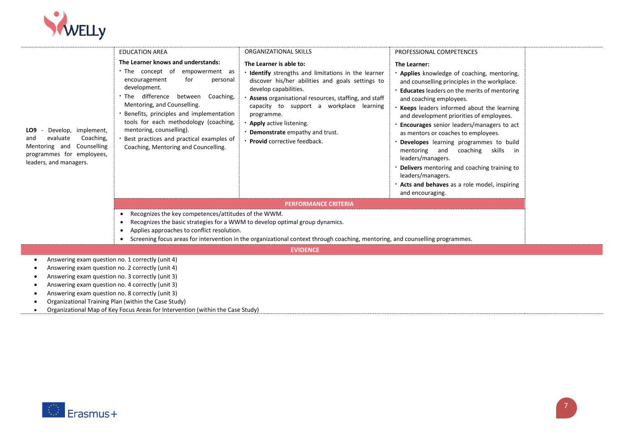

|                                                                                                                                                                                                                                                                  | <b>EDUCATION AREA</b>                                                                                                                                                                                                                                                                                                                                                                                      | ORGANIZATIONAL SKILLS                                                                                                                                                                                                                                                                                                                                                                 | PROFESSIONAL COMPETENCES                                                                                                                                                                                                                                                                                                                                                                                                                                                                                                                                                                                               |
|------------------------------------------------------------------------------------------------------------------------------------------------------------------------------------------------------------------------------------------------------------------|------------------------------------------------------------------------------------------------------------------------------------------------------------------------------------------------------------------------------------------------------------------------------------------------------------------------------------------------------------------------------------------------------------|---------------------------------------------------------------------------------------------------------------------------------------------------------------------------------------------------------------------------------------------------------------------------------------------------------------------------------------------------------------------------------------|------------------------------------------------------------------------------------------------------------------------------------------------------------------------------------------------------------------------------------------------------------------------------------------------------------------------------------------------------------------------------------------------------------------------------------------------------------------------------------------------------------------------------------------------------------------------------------------------------------------------|
| LO9<br>Develop, implement,<br>evaluate<br>Coaching,<br>and<br>Mentoring and<br>Counselling<br>programmes for employees,<br>leaders, and managers.                                                                                                                | The Learner knows and understands:<br>The concept of<br>empowerment as<br>for<br>encouragement<br>personal<br>development.<br>difference<br>between<br>Coaching,<br>The<br>Mentoring, and Counselling.<br>Benefits, principles and implementation<br>tools for each methodology (coaching,<br>mentoring, counselling).<br>Best practices and practical examples of<br>Coaching, Mentoring and Councelling. | The Learner is able to:<br><b>Identify</b> strengths and limitations in the learner<br>discover his/her abilities and goals settings to<br>develop capabilities.<br>Assess organisational resources, staffing, and staff<br>capacity to support a workplace learning<br>programme.<br>Apply active listening.<br>Demonstrate empathy and trust.<br><b>Provid</b> corrective feedback. | The Learner:<br>. Applies knowledge of coaching, mentoring,<br>and counselling principles in the workplace.<br><b>Educates</b> leaders on the merits of mentoring<br>and coaching employees.<br>Keeps leaders informed about the learning<br>and development priorities of employees.<br>Encourages senior leaders/managers to act<br>as mentors or coaches to employees.<br>Developes learning programmes to build<br>mentoring and<br>coaching skills in<br>leaders/managers.<br>Delivers mentoring and coaching training to<br>leaders/managers.<br>Acts and behaves as a role model, inspiring<br>and encouraging. |
|                                                                                                                                                                                                                                                                  |                                                                                                                                                                                                                                                                                                                                                                                                            | <b>PERFORMANCE CRITERIA</b>                                                                                                                                                                                                                                                                                                                                                           |                                                                                                                                                                                                                                                                                                                                                                                                                                                                                                                                                                                                                        |
|                                                                                                                                                                                                                                                                  | Recognizes the key competences/attitudes of the WWM.<br>$\bullet$<br>Recognizes the basic strategies for a WWM to develop optimal group dynamics.<br>$\bullet$<br>Applies approaches to conflict resolution.<br>$\bullet$<br>$\bullet$                                                                                                                                                                     | Screening focus areas for intervention in the organizational context through coaching, mentoring, and counselling programmes.                                                                                                                                                                                                                                                         |                                                                                                                                                                                                                                                                                                                                                                                                                                                                                                                                                                                                                        |
|                                                                                                                                                                                                                                                                  |                                                                                                                                                                                                                                                                                                                                                                                                            | <b>EVIDENCE</b>                                                                                                                                                                                                                                                                                                                                                                       |                                                                                                                                                                                                                                                                                                                                                                                                                                                                                                                                                                                                                        |
| Answering exam question no. 1 correctly (unit 4)<br>Answering exam question no. 2 correctly (unit 4)<br>Answering exam question no. 3 correctly (unit 3)<br>Answering exam question no. 4 correctly (unit 3)<br>Answering exam question no. 8 correctly (unit 3) |                                                                                                                                                                                                                                                                                                                                                                                                            |                                                                                                                                                                                                                                                                                                                                                                                       |                                                                                                                                                                                                                                                                                                                                                                                                                                                                                                                                                                                                                        |

- Organizational Training Plan (within the Case Study)
- Organizational Map of Key Focus Areas for Intervention (within the Case Study)

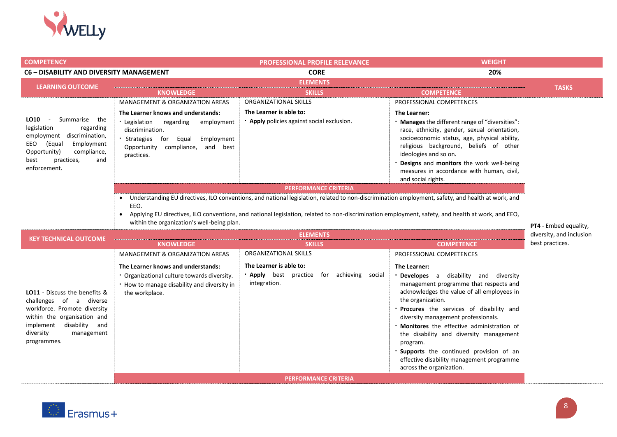

| <b>COMPETENCY</b>                                               |                                                                           | <b>PROFESSIONAL PROFILE RELEVANCE</b>                                                                                                               | <b>WEIGHT</b>                                                                                |                          |
|-----------------------------------------------------------------|---------------------------------------------------------------------------|-----------------------------------------------------------------------------------------------------------------------------------------------------|----------------------------------------------------------------------------------------------|--------------------------|
| C6 - DISABILITY AND DIVERSITY MANAGEMENT                        |                                                                           | <b>CORE</b>                                                                                                                                         | 20%                                                                                          |                          |
| <b>LEARNING OUTCOME</b>                                         |                                                                           | <b>ELEMENTS</b>                                                                                                                                     |                                                                                              | <b>TASKS</b>             |
|                                                                 | <b>KNOWLEDGE</b>                                                          | <b>SKILLS</b>                                                                                                                                       | <b>COMPETENCE</b>                                                                            |                          |
|                                                                 | <b>MANAGEMENT &amp; ORGANIZATION AREAS</b>                                | ORGANIZATIONAL SKILLS                                                                                                                               | PROFESSIONAL COMPETENCES                                                                     |                          |
|                                                                 | The Learner knows and understands:                                        | The Learner is able to:                                                                                                                             | The Learner:                                                                                 |                          |
| LO10<br>Summarise the<br>$\sim$<br>legislation<br>regarding     | Legislation regarding<br>employment                                       | • Apply policies against social exclusion.                                                                                                          | Manages the different range of "diversities":                                                |                          |
| employment discrimination,                                      | discrimination.                                                           |                                                                                                                                                     | race, ethnicity, gender, sexual orientation,<br>socioeconomic status, age, physical ability, |                          |
| EEO<br>(Equal<br>Employment                                     | Strategies for Equal<br>Employment<br>compliance, and best<br>Opportunity |                                                                                                                                                     | religious background, beliefs of other                                                       |                          |
| Opportunity)<br>compliance,                                     | practices.                                                                |                                                                                                                                                     | ideologies and so on.                                                                        |                          |
| best<br>practices,<br>and<br>enforcement.                       |                                                                           |                                                                                                                                                     | Designs and monitors the work well-being                                                     |                          |
|                                                                 |                                                                           |                                                                                                                                                     | measures in accordance with human, civil,<br>and social rights.                              |                          |
|                                                                 |                                                                           | <b>PERFORMANCE CRITERIA</b>                                                                                                                         |                                                                                              |                          |
|                                                                 |                                                                           | • Understanding EU directives, ILO conventions, and national legislation, related to non-discrimination employment, safety, and health at work, and |                                                                                              |                          |
|                                                                 | EEO.                                                                      |                                                                                                                                                     |                                                                                              |                          |
|                                                                 |                                                                           | Applying EU directives, ILO conventions, and national legislation, related to non-discrimination employment, safety, and health at work, and EEO,   |                                                                                              |                          |
|                                                                 | within the organization's well-being plan.                                |                                                                                                                                                     |                                                                                              | PT4 - Embed equality,    |
| <b>KEY TECHNICAL OUTCOME</b>                                    | <b>ELEMENTS</b>                                                           |                                                                                                                                                     |                                                                                              | diversity, and inclusion |
|                                                                 | <b>KNOWLEDGE</b>                                                          | <b>SKILLS</b>                                                                                                                                       | <b>COMPETENCE</b>                                                                            | best practices.          |
|                                                                 | <b>MANAGEMENT &amp; ORGANIZATION AREAS</b>                                | ORGANIZATIONAL SKILLS                                                                                                                               | PROFESSIONAL COMPETENCES                                                                     |                          |
|                                                                 | The Learner knows and understands:                                        | The Learner is able to:                                                                                                                             | The Learner:                                                                                 |                          |
|                                                                 | Organizational culture towards diversity.                                 | . Apply best practice for achieving social                                                                                                          | Developes a disability and diversity                                                         |                          |
|                                                                 | . How to manage disability and diversity in                               | integration.                                                                                                                                        | management programme that respects and<br>acknowledges the value of all employees in         |                          |
| <b>LO11</b> - Discuss the benefits &<br>challenges of a diverse | the workplace.                                                            |                                                                                                                                                     | the organization.                                                                            |                          |
| workforce. Promote diversity                                    |                                                                           |                                                                                                                                                     | Procures the services of disability and                                                      |                          |
| within the organisation and                                     |                                                                           |                                                                                                                                                     | diversity management professionals.                                                          |                          |
| implement disability and                                        |                                                                           |                                                                                                                                                     | <b>Monitores</b> the effective administration of                                             |                          |
| diversity<br>management<br>programmes.                          |                                                                           |                                                                                                                                                     | the disability and diversity management<br>program.                                          |                          |
|                                                                 |                                                                           |                                                                                                                                                     | Supports the continued provision of an                                                       |                          |
|                                                                 |                                                                           |                                                                                                                                                     | effective disability management programme                                                    |                          |
|                                                                 |                                                                           |                                                                                                                                                     | across the organization.                                                                     |                          |
|                                                                 |                                                                           | <b>PERFORMANCE CRITERIA</b>                                                                                                                         |                                                                                              |                          |

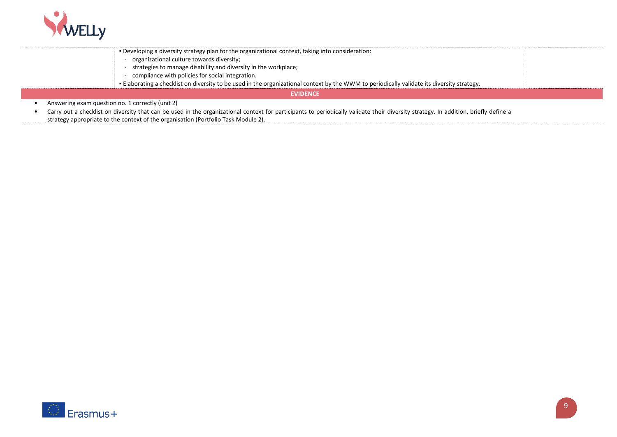

| organizational culture towards diversity;<br>compliance with policies for social integration. | . Developing a diversity strategy plan for the organizational context, taking into consideration:<br>strategies to manage disability and diversity in the workplace;<br>- Elaborating a checklist on diversity to be used in the organizational context by the WWM to periodically validate its diversity strategy. |
|-----------------------------------------------------------------------------------------------|---------------------------------------------------------------------------------------------------------------------------------------------------------------------------------------------------------------------------------------------------------------------------------------------------------------------|
|                                                                                               | <b>EVIDENCE</b>                                                                                                                                                                                                                                                                                                     |
| Answering exam question no. 1 correctly (unit 2)                                              | • Carry out a checklist on diversity that can be used in the organizational context for participants to periodically validate their diversity strategy. In addition, briefly define a                                                                                                                               |

strategy appropriate to the context of the organisation (Portfolio Task Module 2).

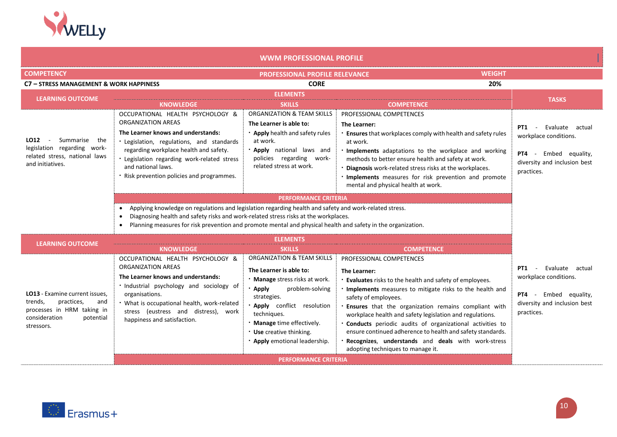

| <b>WWM PROFESSIONAL PROFILE</b>                                                                                                                            |                                                                                                                                                                                                                                                                                                                                                                                                                                                                                                                      |                                                                                                                                                                                                                                                                                    |                                                                                                                                                                                                                                                                                                                                                                                                                                                                                                                                             |                                                                                                                                        |
|------------------------------------------------------------------------------------------------------------------------------------------------------------|----------------------------------------------------------------------------------------------------------------------------------------------------------------------------------------------------------------------------------------------------------------------------------------------------------------------------------------------------------------------------------------------------------------------------------------------------------------------------------------------------------------------|------------------------------------------------------------------------------------------------------------------------------------------------------------------------------------------------------------------------------------------------------------------------------------|---------------------------------------------------------------------------------------------------------------------------------------------------------------------------------------------------------------------------------------------------------------------------------------------------------------------------------------------------------------------------------------------------------------------------------------------------------------------------------------------------------------------------------------------|----------------------------------------------------------------------------------------------------------------------------------------|
| <b>COMPETENCY</b>                                                                                                                                          |                                                                                                                                                                                                                                                                                                                                                                                                                                                                                                                      | PROFESSIONAL PROFILE RELEVANCE                                                                                                                                                                                                                                                     | <b>WEIGHT</b>                                                                                                                                                                                                                                                                                                                                                                                                                                                                                                                               |                                                                                                                                        |
| C7 - STRESS MANAGEMENT & WORK HAPPINESS                                                                                                                    |                                                                                                                                                                                                                                                                                                                                                                                                                                                                                                                      | <b>CORE</b>                                                                                                                                                                                                                                                                        | 20%                                                                                                                                                                                                                                                                                                                                                                                                                                                                                                                                         |                                                                                                                                        |
| <b>LEARNING OUTCOME</b>                                                                                                                                    | <b>KNOWLEDGE</b>                                                                                                                                                                                                                                                                                                                                                                                                                                                                                                     | <b>ELEMENTS</b><br><b>SKILLS</b>                                                                                                                                                                                                                                                   | <b>COMPETENCE</b>                                                                                                                                                                                                                                                                                                                                                                                                                                                                                                                           | <b>TASKS</b>                                                                                                                           |
| Summarise<br>LO12<br>the<br>legislation regarding work-<br>related stress, national laws<br>and initiatives.                                               | OCCUPATIONAL HEALTH PSYCHOLOGY &<br>ORGANIZATION AREAS<br>The Learner knows and understands:<br>· Legislation, regulations, and standards<br>regarding workplace health and safety.<br>. Legislation regarding work-related stress<br>and national laws.<br>· Risk prevention policies and programmes.<br>Applying knowledge on regulations and legislation regarding health and safety and work-related stress.<br>Diagnosing health and safety risks and work-related stress risks at the workplaces.<br>$\bullet$ | ORGANIZATION & TEAM SKILLS<br>The Learner is able to:<br><b>· Apply</b> health and safety rules<br>at work.<br>. Apply national laws and<br>policies regarding work-<br>related stress at work.<br><b>PERFORMANCE CRITERIA</b>                                                     | PROFESSIONAL COMPETENCES<br>The Learner:<br>. Ensures that workplaces comply with health and safety rules<br>at work.<br>. Implements adaptations to the workplace and working<br>methods to better ensure health and safety at work.<br>. Diagnosis work-related stress risks at the workplaces.<br>. Implements measures for risk prevention and promote<br>mental and physical health at work.                                                                                                                                           | Evaluate<br>PT1<br>actual<br>$\sim$<br>workplace conditions.<br>PT4 - Embed equality,<br>diversity and inclusion best<br>practices.    |
| Planning measures for risk prevention and promote mental and physical health and safety in the organization.<br><b>ELEMENTS</b><br><b>LEARNING OUTCOME</b> |                                                                                                                                                                                                                                                                                                                                                                                                                                                                                                                      |                                                                                                                                                                                                                                                                                    |                                                                                                                                                                                                                                                                                                                                                                                                                                                                                                                                             |                                                                                                                                        |
|                                                                                                                                                            | <b>KNOWLEDGE</b>                                                                                                                                                                                                                                                                                                                                                                                                                                                                                                     | <b>SKILLS</b>                                                                                                                                                                                                                                                                      | <b>COMPETENCE</b>                                                                                                                                                                                                                                                                                                                                                                                                                                                                                                                           |                                                                                                                                        |
| LO13 - Examine current issues.<br>trends,<br>practices,<br>and<br>processes in HRM taking in<br>consideration<br>potential<br>stressors.                   | OCCUPATIONAL HEALTH PSYCHOLOGY &<br>ORGANIZATION AREAS<br>The Learner knows and understands:<br>· Industrial psychology and sociology of<br>organisations.<br>. What is occupational health, work-related<br>stress (eustress and distress), work<br>happiness and satisfaction.                                                                                                                                                                                                                                     | ORGANIZATION & TEAM SKILLS<br>The Learner is able to:<br>. Manage stress risks at work.<br>· Apply<br>problem-solving<br>strategies.<br>· Apply conflict resolution<br>techniques.<br>. Manage time effectively.<br><b>Use</b> creative thinking.<br>· Apply emotional leadership. | PROFESSIONAL COMPETENCES<br>The Learner:<br><b>Evaluates</b> risks to the health and safety of employees.<br>. Implements measures to mitigate risks to the health and<br>safety of employees.<br>. Ensures that the organization remains compliant with<br>workplace health and safety legislation and regulations.<br>. Conducts periodic audits of organizational activities to<br>ensure continued adherence to health and safety standards.<br>Recognizes, understands and deals with work-stress<br>adopting techniques to manage it. | Evaluate actual<br><b>PT1 -</b><br>workplace conditions.<br><b>PT4</b> - Embed equality,<br>diversity and inclusion best<br>practices. |
|                                                                                                                                                            |                                                                                                                                                                                                                                                                                                                                                                                                                                                                                                                      | <b>PERFORMANCE CRITERIA</b>                                                                                                                                                                                                                                                        |                                                                                                                                                                                                                                                                                                                                                                                                                                                                                                                                             |                                                                                                                                        |

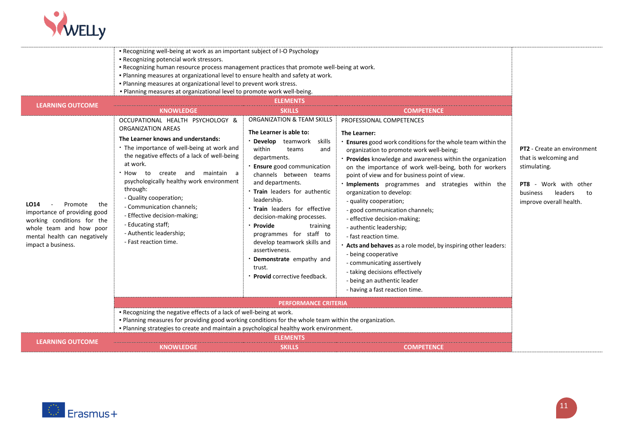

| <b>LEARNING OUTCOME</b><br><b>SKILLS</b><br><b>KNOWLEDGE</b><br><b>COMPETENCE</b><br>ORGANIZATION & TEAM SKILLS<br>OCCUPATIONAL HEALTH PSYCHOLOGY &<br>PROFESSIONAL COMPETENCES<br><b>ORGANIZATION AREAS</b><br>The Learner is able to:<br>The Learner:<br>The Learner knows and understands:<br>· Develop<br>teamwork<br>skills<br>Ensures good work conditions for the whole team within the<br>. The importance of well-being at work and<br>within<br><b>PT2</b> - Create an environment<br>teams<br>organization to promote work well-being;<br>and<br>the negative effects of a lack of well-being<br>departments.<br>that is welcoming and<br>Provides knowledge and awareness within the organization<br>at work.<br><b>Ensure</b> good communication<br>stimulating.<br>on the importance of work well-being, both for workers<br>create and maintain a<br>to<br>How<br>channels between teams<br>point of view and for business point of view.<br>psychologically healthy work environment<br>and departments.<br>. Implements programmes and strategies within the<br><b>PT8</b> - Work with other<br>through:<br>. Train leaders for authentic<br>organization to develop:<br>leaders<br>business<br>- Quality cooperation;<br>leadership.<br>- quality cooperation;<br>improve overall health.<br>LO14<br>Promote<br>the<br>- Communication channels;<br>. Train leaders for effective<br>- good communication channels; |    |
|---------------------------------------------------------------------------------------------------------------------------------------------------------------------------------------------------------------------------------------------------------------------------------------------------------------------------------------------------------------------------------------------------------------------------------------------------------------------------------------------------------------------------------------------------------------------------------------------------------------------------------------------------------------------------------------------------------------------------------------------------------------------------------------------------------------------------------------------------------------------------------------------------------------------------------------------------------------------------------------------------------------------------------------------------------------------------------------------------------------------------------------------------------------------------------------------------------------------------------------------------------------------------------------------------------------------------------------------------------------------------------------------------------------------------------------|----|
|                                                                                                                                                                                                                                                                                                                                                                                                                                                                                                                                                                                                                                                                                                                                                                                                                                                                                                                                                                                                                                                                                                                                                                                                                                                                                                                                                                                                                                       |    |
| importance of providing good<br>- Effective decision-making;<br>decision-making processes.<br>- effective decision-making;<br>working conditions for the<br>- Educating staff;<br>· Provide<br>training<br>- authentic leadership;<br>whole team and how poor<br>- Authentic leadership;<br>programmes for staff to<br>mental health can negatively<br>- fast reaction time.<br>- Fast reaction time.<br>develop teamwork skills and<br>impact a business.<br>Acts and behaves as a role model, by inspiring other leaders:<br>assertiveness.<br>- being cooperative<br>Demonstrate empathy and<br>- communicating assertively<br>trust.<br>- taking decisions effectively<br>· Provid corrective feedback.<br>- being an authentic leader<br>- having a fast reaction time.                                                                                                                                                                                                                                                                                                                                                                                                                                                                                                                                                                                                                                                          | to |
| <b>PERFORMANCE CRITERIA</b>                                                                                                                                                                                                                                                                                                                                                                                                                                                                                                                                                                                                                                                                                                                                                                                                                                                                                                                                                                                                                                                                                                                                                                                                                                                                                                                                                                                                           |    |
| . Recognizing the negative effects of a lack of well-being at work.<br>. Planning measures for providing good working conditions for the whole team within the organization.<br>. Planning strategies to create and maintain a psychological healthy work environment.                                                                                                                                                                                                                                                                                                                                                                                                                                                                                                                                                                                                                                                                                                                                                                                                                                                                                                                                                                                                                                                                                                                                                                |    |
| <b>ELEMENTS</b><br><b>LEARNING OUTCOME</b><br><b>SKILLS</b><br><b>KNOWLEDGE</b><br><b>COMPETENCE</b>                                                                                                                                                                                                                                                                                                                                                                                                                                                                                                                                                                                                                                                                                                                                                                                                                                                                                                                                                                                                                                                                                                                                                                                                                                                                                                                                  |    |

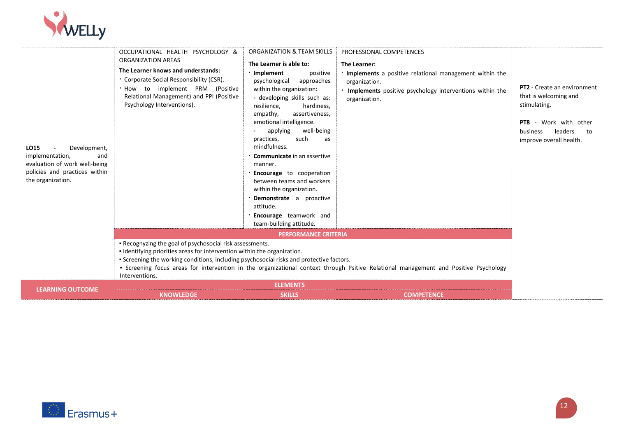

| LO15<br>Development,<br>implementation,<br>and<br>evaluation of work well-being<br>policies and practices within<br>the organization. | OCCUPATIONAL HEALTH PSYCHOLOGY &<br>ORGANIZATION AREAS<br>The Learner knows and understands:<br>Corporate Social Responsibility (CSR).<br>. How to implement PRM (Positive<br>Relational Management) and PPI (Positive<br>Psychology Interventions). | ORGANIZATION & TEAM SKILLS<br>The Learner is able to:<br>· Implement<br>positive<br>psychological<br>approaches<br>within the organization:<br>- developing skills such as:<br>resilience,<br>hardiness,<br>empathy,<br>assertiveness,<br>emotional intelligence.<br>well-being<br>applying<br>practices,<br>such<br>as<br>mindfulness.<br><b>Communicate</b> in an assertive<br>manner.<br><b>Encourage</b> to cooperation<br>between teams and workers<br>within the organization.<br>· Demonstrate a proactive<br>attitude.<br><b>Encourage</b> teamwork and<br>team-building attitude. | PROFESSIONAL COMPETENCES<br>The Learner:<br>. Implements a positive relational management within the<br>organization.<br>. Implements positive psychology interventions within the<br>organization. | <b>PT2</b> - Create an environment<br>that is welcoming and<br>stimulating.<br>PT8 - Work with other<br>business<br>leaders<br>to<br>improve overall health. |
|---------------------------------------------------------------------------------------------------------------------------------------|------------------------------------------------------------------------------------------------------------------------------------------------------------------------------------------------------------------------------------------------------|--------------------------------------------------------------------------------------------------------------------------------------------------------------------------------------------------------------------------------------------------------------------------------------------------------------------------------------------------------------------------------------------------------------------------------------------------------------------------------------------------------------------------------------------------------------------------------------------|-----------------------------------------------------------------------------------------------------------------------------------------------------------------------------------------------------|--------------------------------------------------------------------------------------------------------------------------------------------------------------|
|                                                                                                                                       |                                                                                                                                                                                                                                                      | <b>PERFORMANCE CRITERIA</b>                                                                                                                                                                                                                                                                                                                                                                                                                                                                                                                                                                |                                                                                                                                                                                                     |                                                                                                                                                              |
|                                                                                                                                       | . Recognyzing the goal of psychosocial risk assessments.<br>. Identifying priorities areas for intervention within the organization.<br>• Screening the working conditions, including psychosocial risks and protective factors.<br>Interventions.   |                                                                                                                                                                                                                                                                                                                                                                                                                                                                                                                                                                                            | • Screening focus areas for intervention in the organizational context through Psitive Relational management and Positive Psychology                                                                |                                                                                                                                                              |
| <b>LEARNING OUTCOME</b>                                                                                                               |                                                                                                                                                                                                                                                      | <b>ELEMENTS</b>                                                                                                                                                                                                                                                                                                                                                                                                                                                                                                                                                                            |                                                                                                                                                                                                     |                                                                                                                                                              |
|                                                                                                                                       | <b>KNOWLEDGE</b>                                                                                                                                                                                                                                     | <b>SKILLS</b>                                                                                                                                                                                                                                                                                                                                                                                                                                                                                                                                                                              | <b>COMPETENCE</b>                                                                                                                                                                                   |                                                                                                                                                              |